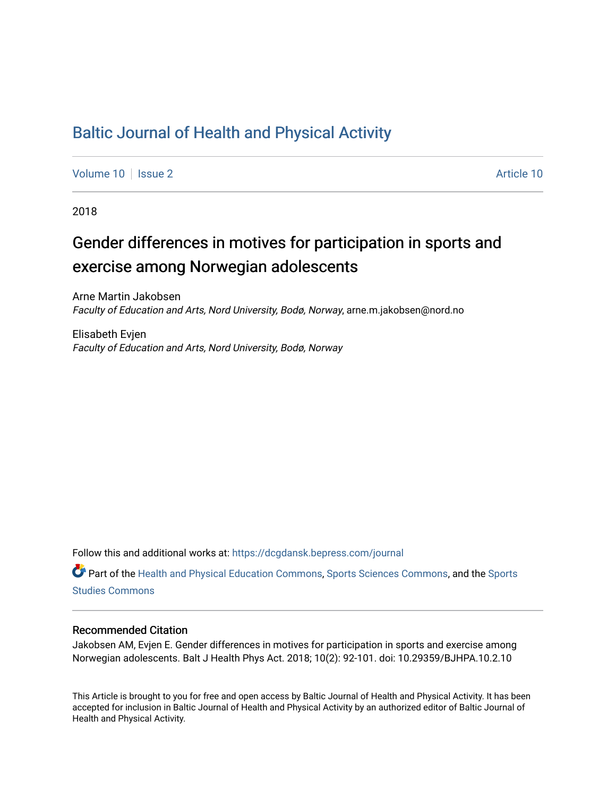## [Baltic Journal of Health and Physical Activity](https://dcgdansk.bepress.com/journal)

[Volume 10](https://dcgdansk.bepress.com/journal/vol10) | [Issue 2](https://dcgdansk.bepress.com/journal/vol10/iss2) Article 10

2018

## Gender differences in motives for participation in sports and exercise among Norwegian adolescents

Arne Martin Jakobsen Faculty of Education and Arts, Nord University, Bodø, Norway, arne.m.jakobsen@nord.no

Elisabeth Evjen Faculty of Education and Arts, Nord University, Bodø, Norway

Follow this and additional works at: [https://dcgdansk.bepress.com/journal](https://dcgdansk.bepress.com/journal?utm_source=dcgdansk.bepress.com%2Fjournal%2Fvol10%2Fiss2%2F10&utm_medium=PDF&utm_campaign=PDFCoverPages)

Part of the [Health and Physical Education Commons](http://network.bepress.com/hgg/discipline/1327?utm_source=dcgdansk.bepress.com%2Fjournal%2Fvol10%2Fiss2%2F10&utm_medium=PDF&utm_campaign=PDFCoverPages), [Sports Sciences Commons](http://network.bepress.com/hgg/discipline/759?utm_source=dcgdansk.bepress.com%2Fjournal%2Fvol10%2Fiss2%2F10&utm_medium=PDF&utm_campaign=PDFCoverPages), and the [Sports](http://network.bepress.com/hgg/discipline/1198?utm_source=dcgdansk.bepress.com%2Fjournal%2Fvol10%2Fiss2%2F10&utm_medium=PDF&utm_campaign=PDFCoverPages)  [Studies Commons](http://network.bepress.com/hgg/discipline/1198?utm_source=dcgdansk.bepress.com%2Fjournal%2Fvol10%2Fiss2%2F10&utm_medium=PDF&utm_campaign=PDFCoverPages) 

#### Recommended Citation

Jakobsen AM, Evjen E. Gender differences in motives for participation in sports and exercise among Norwegian adolescents. Balt J Health Phys Act. 2018; 10(2): 92-101. doi: 10.29359/BJHPA.10.2.10

This Article is brought to you for free and open access by Baltic Journal of Health and Physical Activity. It has been accepted for inclusion in Baltic Journal of Health and Physical Activity by an authorized editor of Baltic Journal of Health and Physical Activity.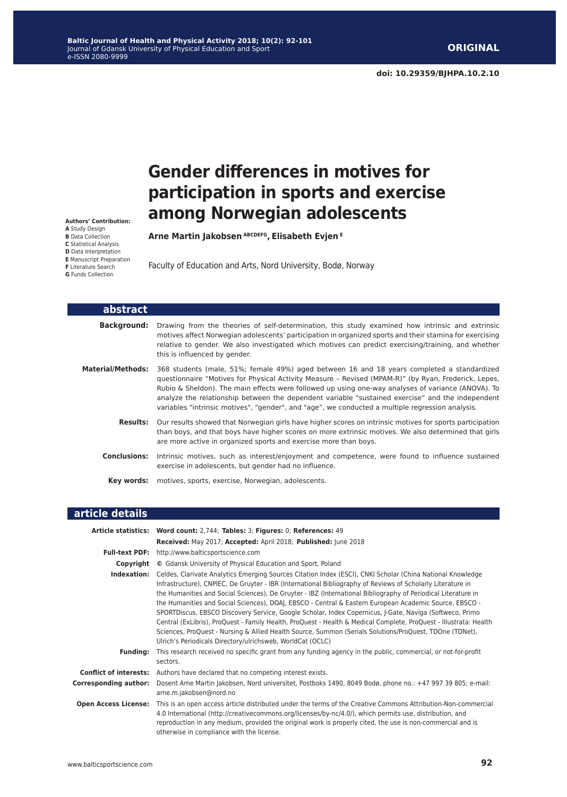# **Gender differences in motives for participation in sports and exercise among Norwegian adolescents**

**Arne Martin Jakobsen ABCDEFG, Elisabeth Evjen<sup>E</sup>**

Faculty of Education and Arts, Nord University, Bodø, Norway

| <b>abstract</b>          |                                                                                                                                                                                                                                                                                                                                                                                                                                                                                                                  |
|--------------------------|------------------------------------------------------------------------------------------------------------------------------------------------------------------------------------------------------------------------------------------------------------------------------------------------------------------------------------------------------------------------------------------------------------------------------------------------------------------------------------------------------------------|
| <b>Background:</b>       | Drawing from the theories of self-determination, this study examined how intrinsic and extrinsic<br>motives affect Norwegian adolescents' participation in organized sports and their stamina for exercising<br>relative to gender. We also investigated which motives can predict exercising/training, and whether<br>this is influenced by gender.                                                                                                                                                             |
| <b>Material/Methods:</b> | 368 students (male, 51%; female 49%) aged between 16 and 18 years completed a standardized<br>questionnaire "Motives for Physical Activity Measure - Revised (MPAM-R)" (by Ryan, Frederick, Lepes,<br>Rubio & Sheldon). The main effects were followed up using one-way analyses of variance (ANOVA). To<br>analyze the relationship between the dependent variable "sustained exercise" and the independent<br>variables "intrinsic motives", "gender", and "age", we conducted a multiple regression analysis. |
| <b>Results:</b>          | Our results showed that Norwegian girls have higher scores on intrinsic motives for sports participation<br>than boys, and that boys have higher scores on more extrinsic motives. We also determined that girls<br>are more active in organized sports and exercise more than boys.                                                                                                                                                                                                                             |
| <b>Conclusions:</b>      | Intrinsic motives, such as interest/enjoyment and competence, were found to influence sustained<br>exercise in adolescents, but gender had no influence.                                                                                                                                                                                                                                                                                                                                                         |
| Kev words:               | motives, sports, exercise, Norwegian, adolescents.                                                                                                                                                                                                                                                                                                                                                                                                                                                               |

### **article details**

|                       | Article statistics: Word count: 2,744; Tables: 3; Figures: 0; References: 49                                                                                                                                                                                                                                                                                                                                                                                                                                                                                                                                                                                                                                                                                                                                                                                  |  |  |  |  |  |  |
|-----------------------|---------------------------------------------------------------------------------------------------------------------------------------------------------------------------------------------------------------------------------------------------------------------------------------------------------------------------------------------------------------------------------------------------------------------------------------------------------------------------------------------------------------------------------------------------------------------------------------------------------------------------------------------------------------------------------------------------------------------------------------------------------------------------------------------------------------------------------------------------------------|--|--|--|--|--|--|
|                       | Received: May 2017; Accepted: April 2018; Published: June 2018                                                                                                                                                                                                                                                                                                                                                                                                                                                                                                                                                                                                                                                                                                                                                                                                |  |  |  |  |  |  |
|                       | <b>Full-text PDF:</b> http://www.balticsportscience.com                                                                                                                                                                                                                                                                                                                                                                                                                                                                                                                                                                                                                                                                                                                                                                                                       |  |  |  |  |  |  |
| Copyright             | © Gdansk University of Physical Education and Sport, Poland                                                                                                                                                                                                                                                                                                                                                                                                                                                                                                                                                                                                                                                                                                                                                                                                   |  |  |  |  |  |  |
| Indexation:           | Celdes, Clarivate Analytics Emerging Sources Citation Index (ESCI), CNKI Scholar (China National Knowledge<br>Infrastructure), CNPIEC, De Gruyter - IBR (International Bibliography of Reviews of Scholarly Literature in<br>the Humanities and Social Sciences), De Gruyter - IBZ (International Bibliography of Periodical Literature in<br>the Humanities and Social Sciences), DOAJ, EBSCO - Central & Eastern European Academic Source, EBSCO -<br>SPORTDiscus, EBSCO Discovery Service, Google Scholar, Index Copernicus, J-Gate, Naviga (Softweco, Primo<br>Central (ExLibris), ProQuest - Family Health, ProQuest - Health & Medical Complete, ProQuest - Illustrata: Health<br>Sciences, ProQuest - Nursing & Allied Health Source, Summon (Serials Solutions/ProQuest, TDOne (TDNet),<br>Ulrich's Periodicals Directory/ulrichsweb, WorldCat (OCLC) |  |  |  |  |  |  |
| <b>Funding:</b>       | This research received no specific grant from any funding agency in the public, commercial, or not-for-profit<br>sectors.                                                                                                                                                                                                                                                                                                                                                                                                                                                                                                                                                                                                                                                                                                                                     |  |  |  |  |  |  |
|                       | <b>Conflict of interests:</b> Authors have declared that no competing interest exists.                                                                                                                                                                                                                                                                                                                                                                                                                                                                                                                                                                                                                                                                                                                                                                        |  |  |  |  |  |  |
| Corresponding author: | Dosent Arne Martin Jakobsen, Nord universitet, Postboks 1490, 8049 Bodø, phone no.: +47 997 39 805; e-mail:<br>arne.m.jakobsen@nord.no                                                                                                                                                                                                                                                                                                                                                                                                                                                                                                                                                                                                                                                                                                                        |  |  |  |  |  |  |
|                       | <b>Open Access License:</b> This is an open access article distributed under the terms of the Creative Commons Attribution-Non-commercial<br>4.0 International (http://creativecommons.org/licenses/by-nc/4.0/), which permits use, distribution, and<br>reproduction in any medium, provided the original work is properly cited, the use is non-commercial and is<br>otherwise in compliance with the license.                                                                                                                                                                                                                                                                                                                                                                                                                                              |  |  |  |  |  |  |

**Authors' Contribution: A** Study Design

- **B** Data Collection
- **C** Statistical Analysis

**D** Data Interpretation

- **E** Manuscript Preparation
- **F** Literature Search **G** Funds Collection
-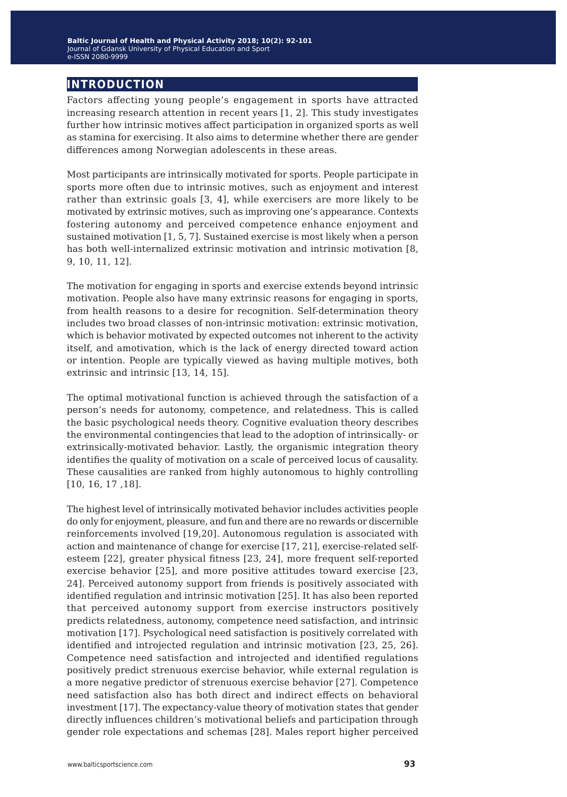## **introduction**

Factors affecting young people's engagement in sports have attracted increasing research attention in recent years [1, 2]. This study investigates further how intrinsic motives affect participation in organized sports as well as stamina for exercising. It also aims to determine whether there are gender differences among Norwegian adolescents in these areas.

Most participants are intrinsically motivated for sports. People participate in sports more often due to intrinsic motives, such as enjoyment and interest rather than extrinsic goals [3, 4], while exercisers are more likely to be motivated by extrinsic motives, such as improving one's appearance. Contexts fostering autonomy and perceived competence enhance enjoyment and sustained motivation [1, 5, 7]. Sustained exercise is most likely when a person has both well-internalized extrinsic motivation and intrinsic motivation [8, 9, 10, 11, 12].

The motivation for engaging in sports and exercise extends beyond intrinsic motivation. People also have many extrinsic reasons for engaging in sports, from health reasons to a desire for recognition. Self-determination theory includes two broad classes of non-intrinsic motivation: extrinsic motivation, which is behavior motivated by expected outcomes not inherent to the activity itself, and amotivation, which is the lack of energy directed toward action or intention. People are typically viewed as having multiple motives, both extrinsic and intrinsic [13, 14, 15].

The optimal motivational function is achieved through the satisfaction of a person's needs for autonomy, competence, and relatedness. This is called the basic psychological needs theory. Cognitive evaluation theory describes the environmental contingencies that lead to the adoption of intrinsically- or extrinsically-motivated behavior. Lastly, the organismic integration theory identifies the quality of motivation on a scale of perceived locus of causality. These causalities are ranked from highly autonomous to highly controlling [10, 16, 17 ,18].

The highest level of intrinsically motivated behavior includes activities people do only for enjoyment, pleasure, and fun and there are no rewards or discernible reinforcements involved [19,20]. Autonomous regulation is associated with action and maintenance of change for exercise [17, 21], exercise-related selfesteem [22], greater physical fitness [23, 24], more frequent self-reported exercise behavior [25], and more positive attitudes toward exercise [23, 24]. Perceived autonomy support from friends is positively associated with identified regulation and intrinsic motivation [25]. It has also been reported that perceived autonomy support from exercise instructors positively predicts relatedness, autonomy, competence need satisfaction, and intrinsic motivation [17]. Psychological need satisfaction is positively correlated with identified and introjected regulation and intrinsic motivation [23, 25, 26]. Competence need satisfaction and introjected and identified regulations positively predict strenuous exercise behavior, while external regulation is a more negative predictor of strenuous exercise behavior [27]. Competence need satisfaction also has both direct and indirect effects on behavioral investment [17]. The expectancy-value theory of motivation states that gender directly influences children's motivational beliefs and participation through gender role expectations and schemas [28]. Males report higher perceived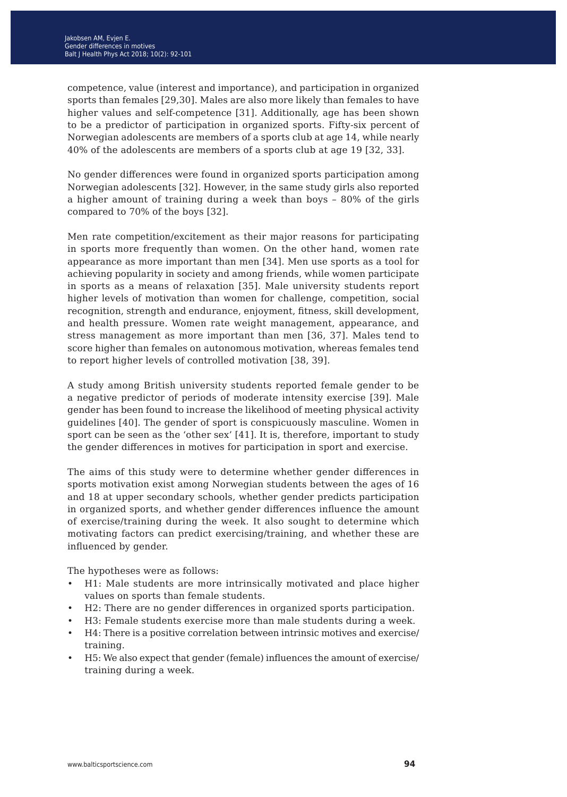competence, value (interest and importance), and participation in organized sports than females [29,30]. Males are also more likely than females to have higher values and self-competence [31]. Additionally, age has been shown to be a predictor of participation in organized sports. Fifty-six percent of Norwegian adolescents are members of a sports club at age 14, while nearly 40% of the adolescents are members of a sports club at age 19 [32, 33].

No gender differences were found in organized sports participation among Norwegian adolescents [32]. However, in the same study girls also reported a higher amount of training during a week than boys – 80% of the girls compared to 70% of the boys [32].

Men rate competition/excitement as their major reasons for participating in sports more frequently than women. On the other hand, women rate appearance as more important than men [34]. Men use sports as a tool for achieving popularity in society and among friends, while women participate in sports as a means of relaxation [35]. Male university students report higher levels of motivation than women for challenge, competition, social recognition, strength and endurance, enjoyment, fitness, skill development, and health pressure. Women rate weight management, appearance, and stress management as more important than men [36, 37]. Males tend to score higher than females on autonomous motivation, whereas females tend to report higher levels of controlled motivation [38, 39].

A study among British university students reported female gender to be a negative predictor of periods of moderate intensity exercise [39]. Male gender has been found to increase the likelihood of meeting physical activity guidelines [40]. The gender of sport is conspicuously masculine. Women in sport can be seen as the 'other sex' [41]. It is, therefore, important to study the gender differences in motives for participation in sport and exercise.

The aims of this study were to determine whether gender differences in sports motivation exist among Norwegian students between the ages of 16 and 18 at upper secondary schools, whether gender predicts participation in organized sports, and whether gender differences influence the amount of exercise/training during the week. It also sought to determine which motivating factors can predict exercising/training, and whether these are influenced by gender.

The hypotheses were as follows:

- H1: Male students are more intrinsically motivated and place higher values on sports than female students.
- H2: There are no gender differences in organized sports participation.
- H3: Female students exercise more than male students during a week.
- H4: There is a positive correlation between intrinsic motives and exercise/ training.
- H5: We also expect that gender (female) influences the amount of exercise/ training during a week.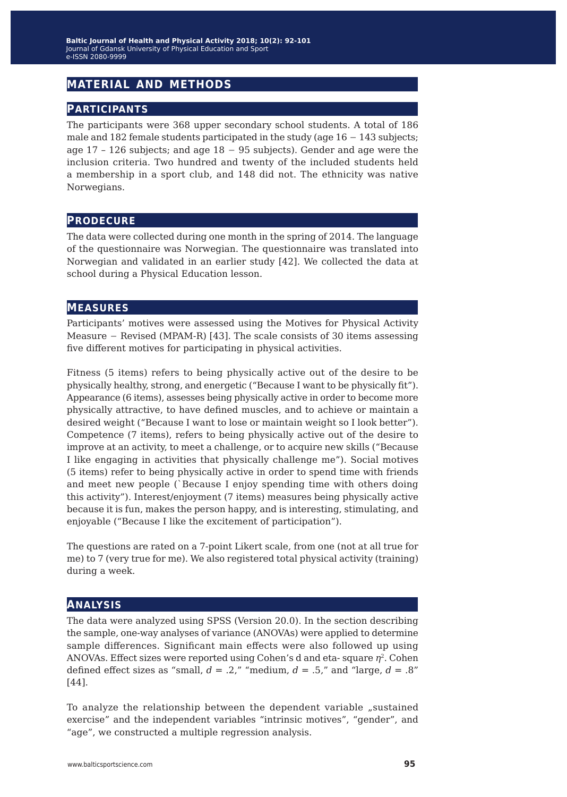## **material and methods**

#### **participants**

The participants were 368 upper secondary school students. A total of 186 male and 182 female students participated in the study (age 16 − 143 subjects; age 17 – 126 subjects; and age 18 − 95 subjects). Gender and age were the inclusion criteria. Two hundred and twenty of the included students held a membership in a sport club, and 148 did not. The ethnicity was native Norwegians.

#### **prodecure**

The data were collected during one month in the spring of 2014. The language of the questionnaire was Norwegian. The questionnaire was translated into Norwegian and validated in an earlier study [42]. We collected the data at school during a Physical Education lesson.

#### **measures**

Participants' motives were assessed using the Motives for Physical Activity Measure − Revised (MPAM-R) [43]. The scale consists of 30 items assessing five different motives for participating in physical activities.

Fitness (5 items) refers to being physically active out of the desire to be physically healthy, strong, and energetic ("Because I want to be physically fit"). Appearance (6 items), assesses being physically active in order to become more physically attractive, to have defined muscles, and to achieve or maintain a desired weight ("Because I want to lose or maintain weight so I look better"). Competence (7 items), refers to being physically active out of the desire to improve at an activity, to meet a challenge, or to acquire new skills ("Because I like engaging in activities that physically challenge me"). Social motives (5 items) refer to being physically active in order to spend time with friends and meet new people (`Because I enjoy spending time with others doing this activity"). Interest/enjoyment (7 items) measures being physically active because it is fun, makes the person happy, and is interesting, stimulating, and enjoyable ("Because I like the excitement of participation").

The questions are rated on a 7-point Likert scale, from one (not at all true for me) to 7 (very true for me). We also registered total physical activity (training) during a week.

#### **analysis**

The data were analyzed using SPSS (Version 20.0). In the section describing the sample, one-way analyses of variance (ANOVAs) were applied to determine sample differences. Significant main effects were also followed up using ANOVAs. Effect sizes were reported using Cohen's d and eta- square *η*2. Cohen defined effect sizes as "small,  $d = .2$ ," "medium,  $d = .5$ ," and "large,  $d = .8$ " [44].

To analyze the relationship between the dependent variable "sustained exercise" and the independent variables "intrinsic motives", "gender", and "age", we constructed a multiple regression analysis.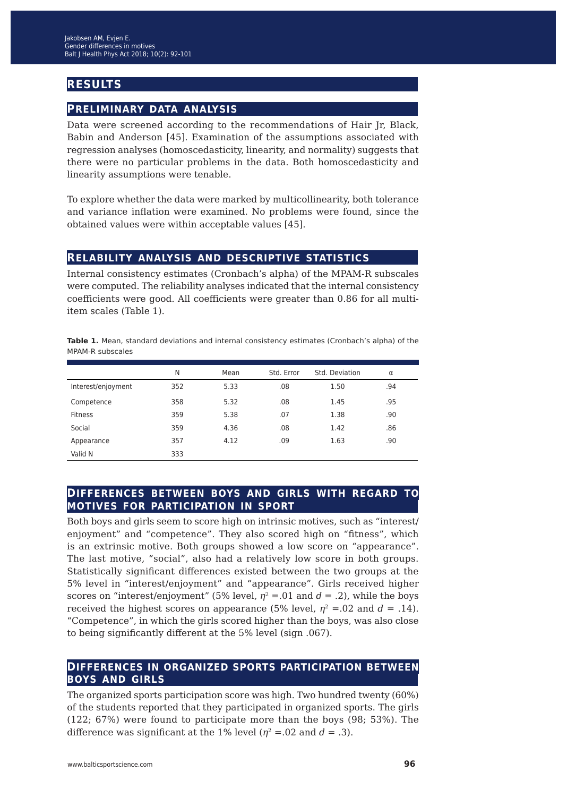## **results**

#### **preliminary data analysis**

Data were screened according to the recommendations of Hair Jr, Black, Babin and Anderson [45]. Examination of the assumptions associated with regression analyses (homoscedasticity, linearity, and normality) suggests that there were no particular problems in the data. Both homoscedasticity and linearity assumptions were tenable.

To explore whether the data were marked by multicollinearity, both tolerance and variance inflation were examined. No problems were found, since the obtained values were within acceptable values [45].

#### **relability analysis and descriptive statistics**

Internal consistency estimates (Cronbach's alpha) of the MPAM-R subscales were computed. The reliability analyses indicated that the internal consistency coefficients were good. All coefficients were greater than 0.86 for all multiitem scales (Table 1).

**Table 1.** Mean, standard deviations and internal consistency estimates (Cronbach's alpha) of the MPAM-R subscales

|                    | N   | Mean | Std. Error | Std. Deviation | α   |
|--------------------|-----|------|------------|----------------|-----|
| Interest/enjoyment | 352 | 5.33 | .08        | 1.50           | .94 |
| Competence         | 358 | 5.32 | .08        | 1.45           | .95 |
| <b>Fitness</b>     | 359 | 5.38 | .07        | 1.38           | .90 |
| Social             | 359 | 4.36 | .08        | 1.42           | .86 |
| Appearance         | 357 | 4.12 | .09        | 1.63           | .90 |
| Valid N            | 333 |      |            |                |     |

#### **differences between boys and girls with regard to motives for participation in sport**

Both boys and girls seem to score high on intrinsic motives, such as "interest/ enjoyment" and "competence". They also scored high on "fitness", which is an extrinsic motive. Both groups showed a low score on "appearance". The last motive, "social", also had a relatively low score in both groups. Statistically significant differences existed between the two groups at the 5% level in "interest/enjoyment" and "appearance". Girls received higher scores on "interest/enjoyment" (5% level,  $\eta^2$  = 01 and  $d$  = 0.2), while the boys received the highest scores on appearance (5% level,  $\eta^2$  =.02 and *d* = .14). "Competence", in which the girls scored higher than the boys, was also close to being significantly different at the 5% level (sign .067).

#### **differences in organized sports participation between boys and girls**

The organized sports participation score was high. Two hundred twenty (60%) of the students reported that they participated in organized sports. The girls (122; 67%) were found to participate more than the boys (98; 53%). The difference was significant at the 1% level ( $\eta^2$  =.02 and  $d$  = .3).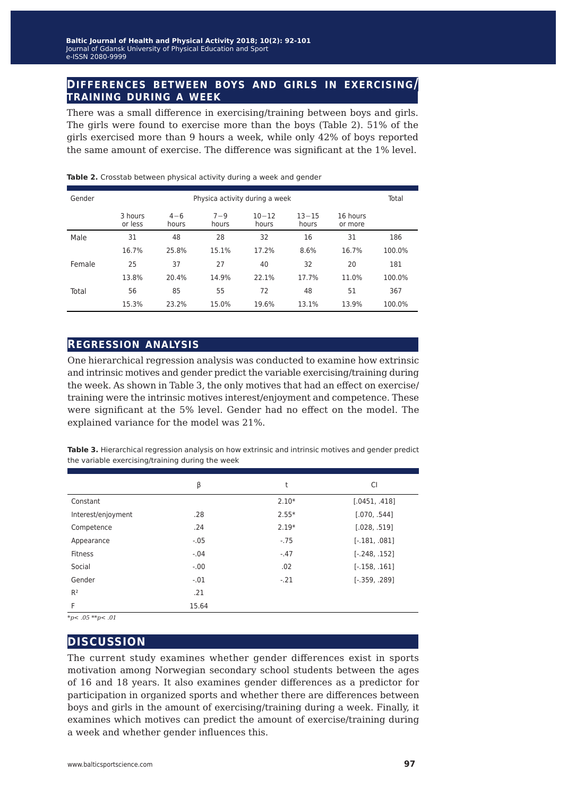#### **differences between boys and girls in exercising/ training during a week**

There was a small difference in exercising/training between boys and girls. The girls were found to exercise more than the boys (Table 2). 51% of the girls exercised more than 9 hours a week, while only 42% of boys reported the same amount of exercise. The difference was significant at the 1% level.

| Gender | Physica activity during a week |                  |                  |                    |                    |                     | Total  |
|--------|--------------------------------|------------------|------------------|--------------------|--------------------|---------------------|--------|
|        | 3 hours<br>or less             | $4 - 6$<br>hours | $7 - 9$<br>hours | $10 - 12$<br>hours | $13 - 15$<br>hours | 16 hours<br>or more |        |
| Male   | 31                             | 48               | 28               | 32                 | 16                 | 31                  | 186    |
|        | 16.7%                          | 25.8%            | 15.1%            | 17.2%              | 8.6%               | 16.7%               | 100.0% |
| Female | 25                             | 37               | 27               | 40                 | 32                 | 20                  | 181    |
|        | 13.8%                          | 20.4%            | 14.9%            | 22.1%              | 17.7%              | 11.0%               | 100.0% |
| Total  | 56                             | 85               | 55               | 72                 | 48                 | 51                  | 367    |
|        | 15.3%                          | 23.2%            | 15.0%            | 19.6%              | 13.1%              | 13.9%               | 100.0% |

**Table 2.** Crosstab between physical activity during a week and gender

#### **regression analysis**

One hierarchical regression analysis was conducted to examine how extrinsic and intrinsic motives and gender predict the variable exercising/training during the week. As shown in Table 3, the only motives that had an effect on exercise/ training were the intrinsic motives interest/enjoyment and competence. These were significant at the 5% level. Gender had no effect on the model. The explained variance for the model was 21%.

**Table 3.** Hierarchical regression analysis on how extrinsic and intrinsic motives and gender predict the variable exercising/training during the week

|                    | β      | t       | CI              |
|--------------------|--------|---------|-----------------|
| Constant           |        | $2.10*$ | [.0451, .418]   |
| Interest/enjoyment | .28    | $2.55*$ | [.070, .544]    |
| Competence         | .24    | $2.19*$ | [.028, .519]    |
| Appearance         | $-.05$ | $-.75$  | $[-.181, .081]$ |
| <b>Fitness</b>     | $-.04$ | $-.47$  | $[-.248, .152]$ |
| Social             | $-.00$ | .02     | $[-.158, .161]$ |
| Gender             | $-.01$ | $-.21$  | $[-.359, .289]$ |
| R <sup>2</sup>     | .21    |         |                 |
| F                  | 15.64  |         |                 |

*\*p< .05 \*\*p< .01*

### **discussion**

The current study examines whether gender differences exist in sports motivation among Norwegian secondary school students between the ages of 16 and 18 years. It also examines gender differences as a predictor for participation in organized sports and whether there are differences between boys and girls in the amount of exercising/training during a week. Finally, it examines which motives can predict the amount of exercise/training during a week and whether gender influences this.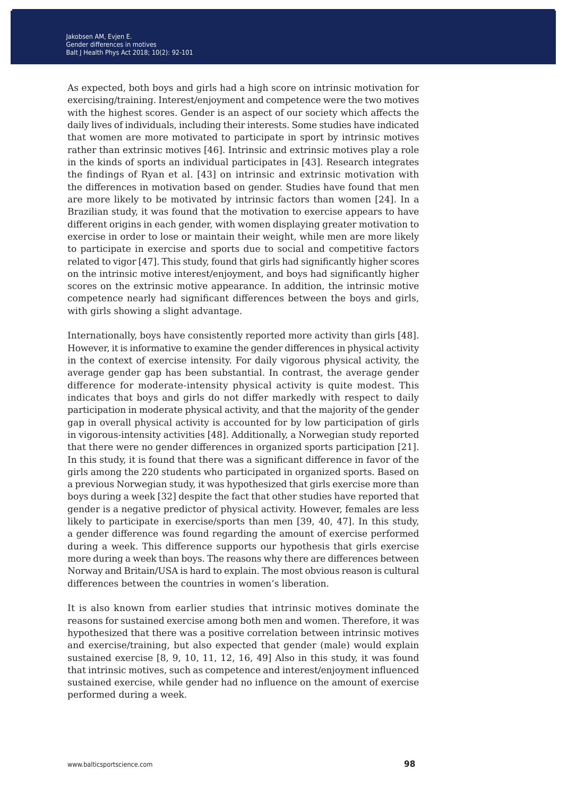As expected, both boys and girls had a high score on intrinsic motivation for exercising/training. Interest/enjoyment and competence were the two motives with the highest scores. Gender is an aspect of our society which affects the daily lives of individuals, including their interests. Some studies have indicated that women are more motivated to participate in sport by intrinsic motives rather than extrinsic motives [46]. Intrinsic and extrinsic motives play a role in the kinds of sports an individual participates in [43]. Research integrates the findings of Ryan et al. [43] on intrinsic and extrinsic motivation with the differences in motivation based on gender. Studies have found that men are more likely to be motivated by intrinsic factors than women [24]. In a Brazilian study, it was found that the motivation to exercise appears to have different origins in each gender, with women displaying greater motivation to exercise in order to lose or maintain their weight, while men are more likely to participate in exercise and sports due to social and competitive factors related to vigor [47]. This study, found that girls had significantly higher scores on the intrinsic motive interest/enjoyment, and boys had significantly higher scores on the extrinsic motive appearance. In addition, the intrinsic motive competence nearly had significant differences between the boys and girls, with girls showing a slight advantage.

Internationally, boys have consistently reported more activity than girls [48]. However, it is informative to examine the gender differences in physical activity in the context of exercise intensity. For daily vigorous physical activity, the average gender gap has been substantial. In contrast, the average gender difference for moderate-intensity physical activity is quite modest. This indicates that boys and girls do not differ markedly with respect to daily participation in moderate physical activity, and that the majority of the gender gap in overall physical activity is accounted for by low participation of girls in vigorous-intensity activities [48]. Additionally, a Norwegian study reported that there were no gender differences in organized sports participation [21]. In this study, it is found that there was a significant difference in favor of the girls among the 220 students who participated in organized sports. Based on a previous Norwegian study, it was hypothesized that girls exercise more than boys during a week [32] despite the fact that other studies have reported that gender is a negative predictor of physical activity. However, females are less likely to participate in exercise/sports than men [39, 40, 47]. In this study, a gender difference was found regarding the amount of exercise performed during a week. This difference supports our hypothesis that girls exercise more during a week than boys. The reasons why there are differences between Norway and Britain/USA is hard to explain. The most obvious reason is cultural differences between the countries in women's liberation.

It is also known from earlier studies that intrinsic motives dominate the reasons for sustained exercise among both men and women. Therefore, it was hypothesized that there was a positive correlation between intrinsic motives and exercise/training, but also expected that gender (male) would explain sustained exercise [8, 9, 10, 11, 12, 16, 49] Also in this study, it was found that intrinsic motives, such as competence and interest/enjoyment influenced sustained exercise, while gender had no influence on the amount of exercise performed during a week.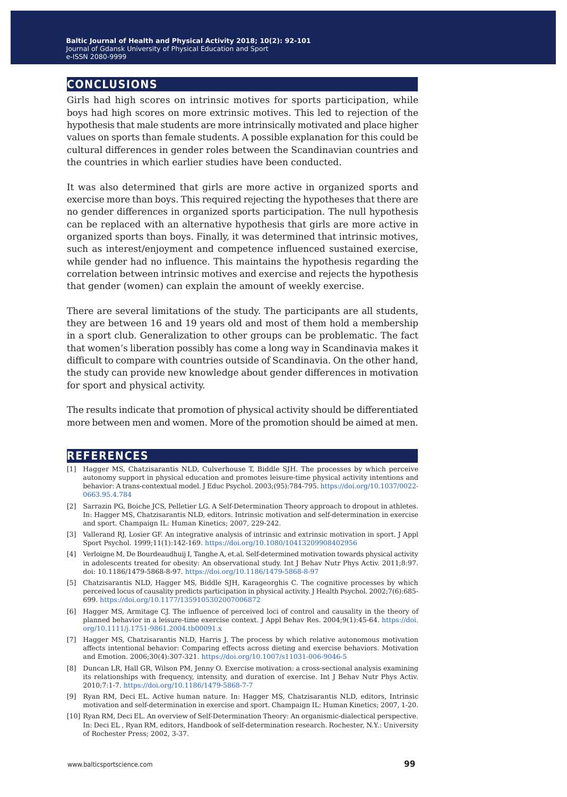## **conclusions**

Girls had high scores on intrinsic motives for sports participation, while boys had high scores on more extrinsic motives. This led to rejection of the hypothesis that male students are more intrinsically motivated and place higher values on sports than female students. A possible explanation for this could be cultural differences in gender roles between the Scandinavian countries and the countries in which earlier studies have been conducted.

It was also determined that girls are more active in organized sports and exercise more than boys. This required rejecting the hypotheses that there are no gender differences in organized sports participation. The null hypothesis can be replaced with an alternative hypothesis that girls are more active in organized sports than boys. Finally, it was determined that intrinsic motives, such as interest/enjoyment and competence influenced sustained exercise, while gender had no influence. This maintains the hypothesis regarding the correlation between intrinsic motives and exercise and rejects the hypothesis that gender (women) can explain the amount of weekly exercise.

There are several limitations of the study. The participants are all students, they are between 16 and 19 years old and most of them hold a membership in a sport club. Generalization to other groups can be problematic. The fact that women's liberation possibly has come a long way in Scandinavia makes it difficult to compare with countries outside of Scandinavia. On the other hand, the study can provide new knowledge about gender differences in motivation for sport and physical activity.

The results indicate that promotion of physical activity should be differentiated more between men and women. More of the promotion should be aimed at men.

#### **references**

- [1] Hagger MS, Chatzisarantis NLD, Culverhouse T, Biddle SJH. The processes by which perceive autonomy support in physical education and promotes leisure-time physical activity intentions and behavior: A trans-contextual model. J Educ Psychol. 2003;(95):784-795. [https://doi.org/10.1037/0022-](https://doi.org/10.1037/0022-0663.95.4.784) [0663.95.4.784](https://doi.org/10.1037/0022-0663.95.4.784)
- [2] Sarrazin PG, Boiche JCS, Pelletier LG. A Self-Determination Theory approach to dropout in athletes. In: Hagger MS, Chatzisarantis NLD, editors. Intrinsic motivation and self-determination in exercise and sport. Champaign IL: Human Kinetics; 2007, 229-242.
- [3] Vallerand RJ, Losier GF. An integrative analysis of intrinsic and extrinsic motivation in sport. J Appl Sport Psychol. 1999;11(1):142-169.<https://doi.org/10.1080/10413209908402956>
- [4] Verloigne M, De Bourdeaudhuij I, Tanghe A, et.al. Self-determined motivation towards physical activity in adolescents treated for obesity: An observational study. Int J Behav Nutr Phys Activ. 2011;8:97. doi: 10.1186/1479-5868-8-97.<https://doi.org/10.1186/1479-5868-8-97>
- [5] Chatzisarantis NLD, Hagger MS, Biddle SJH, Karageorghis C. The cognitive processes by which perceived locus of causality predicts participation in physical activity. J Health Psychol. 2002;7(6):685- 699. <https://doi.org/10.1177/1359105302007006872>
- [6] Hagger MS, Armitage CJ. The influence of perceived loci of control and causality in the theory of planned behavior in a leisure-time exercise context. J Appl Behav Res. 2004;9(1):45-64. [https://doi.](https://doi.org/10.1111/j.1751-9861.2004.tb00091.x) [org/10.1111/j.1751-9861.2004.tb00091.x](https://doi.org/10.1111/j.1751-9861.2004.tb00091.x)
- [7] Hagger MS, Chatzisarantis NLD, Harris J. The process by which relative autonomous motivation affects intentional behavior: Comparing effects across dieting and exercise behaviors. Motivation and Emotion. 2006;30(4):307-321. <https://doi.org/10.1007/s11031-006-9046-5>
- [8] Duncan LR, Hall GR, Wilson PM, Jenny O. Exercise motivation: a cross-sectional analysis examining its relationships with frequency, intensity, and duration of exercise. Int J Behav Nutr Phys Activ. 2010;7:1-7. <https://doi.org/10.1186/1479-5868-7-7>
- [9] Ryan RM, Deci EL. Active human nature. In: Hagger MS, Chatzisarantis NLD, editors, Intrinsic motivation and self-determination in exercise and sport. Champaign IL: Human Kinetics; 2007, 1-20.
- [10] Ryan RM, Deci EL. An overview of Self-Determination Theory: An organismic-dialectical perspective. In: Deci EL , Ryan RM, editors, Handbook of self-determination research. Rochester, N.Y.: University of Rochester Press; 2002, 3-37.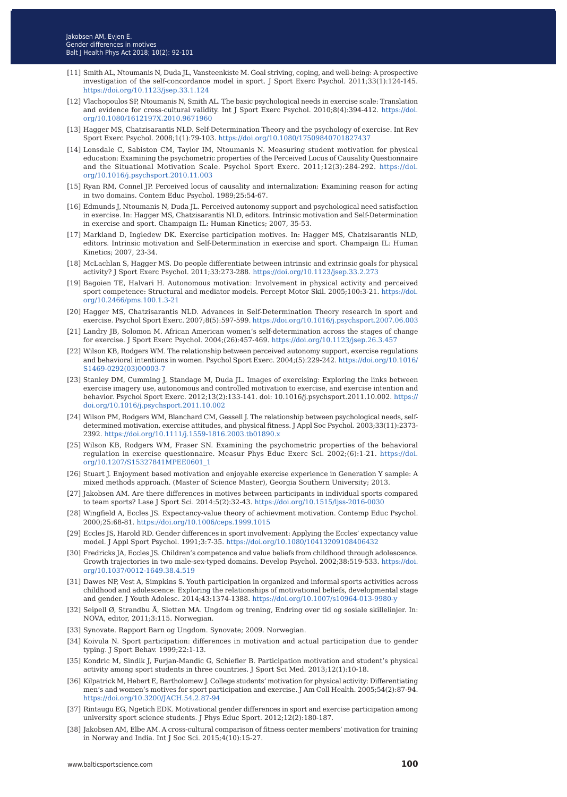- [11] Smith AL, Ntoumanis N, Duda JL, Vansteenkiste M. Goal striving, coping, and well-being: A prospective investigation of the self-concordance model in sport. J Sport Exerc Psychol. 2011;33(1):124-145. <https://doi.org/10.1123/jsep.33.1.124>
- [12] Vlachopoulos SP, Ntoumanis N, Smith AL. The basic psychological needs in exercise scale: Translation and evidence for cross-cultural validity. Int J Sport Exerc Psychol. 2010;8(4):394-412. [https://doi.](https://doi.org/10.1080/1612197X.2010.9671960) [org/10.1080/1612197X.2010.9671960](https://doi.org/10.1080/1612197X.2010.9671960)
- [13] Hagger MS, Chatzisarantis NLD. Self-Determination Theory and the psychology of exercise. Int Rev Sport Exerc Psychol. 2008;1(1):79-103.<https://doi.org/10.1080/17509840701827437>
- [14] Lonsdale C, Sabiston CM, Taylor IM, Ntoumanis N. Measuring student motivation for physical education: Examining the psychometric properties of the Perceived Locus of Causality Questionnaire and the Situational Motivation Scale. Psychol Sport Exerc. 2011;12(3):284-292. [https://doi.](https://doi.org/10.1016/j.psychsport.2010.11.003) [org/10.1016/j.psychsport.2010.11.003](https://doi.org/10.1016/j.psychsport.2010.11.003)
- [15] Ryan RM, Connel JP. Perceived locus of causality and internalization: Examining reason for acting in two domains. Contem Educ Psychol. 1989;25:54-67.
- [16] Edmunds J, Ntoumanis N, Duda JL. Perceived autonomy support and psychological need satisfaction in exercise. In: Hagger MS, Chatzisarantis NLD, editors. Intrinsic motivation and Self-Determination in exercise and sport. Champaign IL: Human Kinetics; 2007, 35-53.
- [17] Markland D, Ingledew DK. Exercise participation motives. In: Hagger MS, Chatzisarantis NLD, editors. Intrinsic motivation and Self-Determination in exercise and sport. Champaign IL: Human Kinetics; 2007, 23-34.
- [18] McLachlan S, Hagger MS. Do people differentiate between intrinsic and extrinsic goals for physical activity? J Sport Exerc Psychol. 2011;33:273-288. <https://doi.org/10.1123/jsep.33.2.273>
- [19] Bagoien TE, Halvari H. Autonomous motivation: Involvement in physical activity and perceived sport competence: Structural and mediator models. Percept Motor Skil. 2005;100:3-21. [https://doi.](https://doi.org/10.2466/pms.100.1.3-21) [org/10.2466/pms.100.1.3-21](https://doi.org/10.2466/pms.100.1.3-21)
- [20] Hagger MS, Chatzisarantis NLD. Advances in Self-Determination Theory research in sport and exercise. Psychol Sport Exerc. 2007;8(5):597-599.<https://doi.org/10.1016/j.psychsport.2007.06.003>
- [21] Landry JB, Solomon M. African American women's self-determination across the stages of change for exercise. J Sport Exerc Psychol. 2004;(26):457-469.<https://doi.org/10.1123/jsep.26.3.457>
- [22] Wilson KB, Rodgers WM. The relationship between perceived autonomy support, exercise regulations and behavioral intentions in women. Psychol Sport Exerc. 2004;(5):229-242. [https://doi.org/10.1016/](https://doi.org/10.1016/S1469-0292(03)00003-7) [S1469-0292\(03\)00003-7](https://doi.org/10.1016/S1469-0292(03)00003-7)
- [23] Stanley DM, Cumming J, Standage M, Duda JL. Images of exercising: Exploring the links between exercise imagery use, autonomous and controlled motivation to exercise, and exercise intention and behavior. Psychol Sport Exerc. 2012;13(2):133-141. doi: 10.1016/j.psychsport.2011.10.002. [https://](https://doi.org/10.1016/j.psychsport.2011.10.002) [doi.org/10.1016/j.psychsport.2011.10.002](https://doi.org/10.1016/j.psychsport.2011.10.002)
- [24] Wilson PM, Rodgers WM, Blanchard CM, Gessell J. The relationship between psychological needs, selfdetermined motivation, exercise attitudes, and physical fitness. J Appl Soc Psychol. 2003;33(11):2373- 2392. <https://doi.org/10.1111/j.1559-1816.2003.tb01890.x>
- [25] Wilson KB, Rodgers WM, Fraser SN. Examining the psychometric properties of the behavioral regulation in exercise questionnaire. Measur Phys Educ Exerc Sci. 2002;(6):1-21. [https://doi.](https://doi.org/10.1207/S15327841MPEE0601_1) [org/10.1207/S15327841MPEE0601\\_1](https://doi.org/10.1207/S15327841MPEE0601_1)
- [26] Stuart J. Enjoyment based motivation and enjoyable exercise experience in Generation Y sample: A mixed methods approach. (Master of Science Master), Georgia Southern University; 2013.
- [27] Jakobsen AM. Are there differences in motives between participants in individual sports compared to team sports? Lase J Sport Sci. 2014:5(2):32-43.<https://doi.org/10.1515/ljss-2016-0030>
- [28] Wingfield A, Eccles JS. Expectancy-value theory of achievment motivation. Contemp Educ Psychol. 2000;25:68-81. <https://doi.org/10.1006/ceps.1999.1015>
- [29] Eccles JS, Harold RD. Gender differences in sport involvement: Applying the Eccles' expectancy value model. J Appl Sport Psychol. 1991;3:7-35. <https://doi.org/10.1080/10413209108406432>
- [30] Fredricks JA, Eccles JS. Children's competence and value beliefs from childhood through adolescence. Growth trajectories in two male-sex-typed domains. Develop Psychol. 2002;38:519-533. [https://doi.](https://doi.org/10.1037/0012-1649.38.4.519) [org/10.1037/0012-1649.38.4.519](https://doi.org/10.1037/0012-1649.38.4.519)
- [31] Dawes NP, Vest A, Simpkins S. Youth participation in organized and informal sports activities across childhood and adolescence: Exploring the relationships of motivational beliefs, developmental stage and gender. J Youth Adolesc. 2014;43:1374-1388. <https://doi.org/10.1007/s10964-013-9980-y>
- [32] Seipell Ø, Strandbu Å, Sletten MA. Ungdom og trening, Endring over tid og sosiale skillelinjer. In: NOVA, editor, 2011;3:115. Norwegian.
- [33] Synovate. Rapport Barn og Ungdom. Synovate; 2009. Norwegian.
- [34] Koivula N. Sport participation: differences in motivation and actual participation due to gender typing. J Sport Behav. 1999;22:1-13.
- [35] Kondric M, Sindik J, Furjan-Mandic G, Schiefler B. Participation motivation and student's physical activity among sport students in three countries. J Sport Sci Med. 2013;12(1):10-18.
- [36] Kilpatrick M, Hebert E, Bartholomew J. College students' motivation for physical activity: Differentiating men's and women's motives for sport participation and exercise. J Am Coll Health. 2005;54(2):87-94. <https://doi.org/10.3200/JACH.54.2.87-94>
- [37] Rintaugu EG, Ngetich EDK. Motivational gender differences in sport and exercise participation among university sport science students. J Phys Educ Sport. 2012;12(2):180-187.
- [38] Jakobsen AM, Elbe AM. A cross-cultural comparison of fitness center members' motivation for training in Norway and India. Int J Soc Sci. 2015;4(10):15-27.